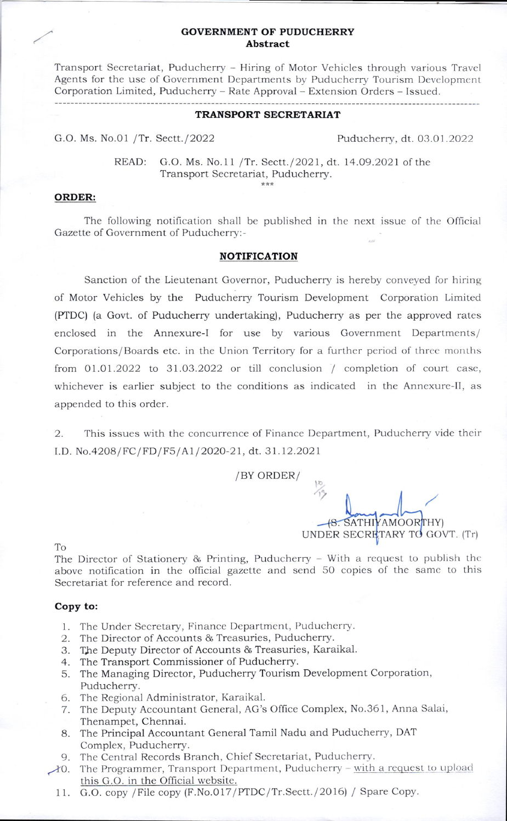## GOVERNMENT OF PUDUCHERRY Abstract

Transport Secretariat, Puducherry - Hiring of Motor Vehicles through various Travcl Agents for the use of Government Departments by Puducherry Tourism Development Corporation Limited, Puducherry - Rate Approval - Extension Orders - Issued.

#### TRANSPORT SECRETARIAT

G.O. Ms. No.01 /Tr. Sectt./2022 Puducherry, dt. 03.01.2022

READ: G.O. Ms. No.11 /Tr. Sectt./2021, dt. 14.09.2021 of the Transport Secretariat, Puducherry.

### ORDER:

The following notification shall be published in the next issue of the Official Gazette of Government of Puducherrv:-

## NOTIFICATION

Sanction of the Lieutenant Governor, Puducherry is hereby conveyed for hiring of Motor Vehicles by the Puducherry Tourism Development Corporation Limited (PTDC) (a Govt. of Puducherry undertaking), Puducherry as per the approved rates enclosed in the Annexure-I for use by various Government Departments/ Corporations/Boards etc. in the Union Territory for a further period of three months from  $01.01.2022$  to  $31.03.2022$  or till conclusion / completion of court case, whichever is earlier subject to the conditions as indicated in the Annexure-ll, as appended to this order.

2. This issues with the concurrence of Finance Department, Puducherry vide their I.D. No.4208/FC/FD/F5/A1/2020-21, dt. 31.12.2021

/BY ORDER/

**48. SATHIYAMOORTHY)** UNDER SECRETARY TO GOVT. (Tr)

To

The Director of Stationery & Printing, Puducherry  $-$  With a request to publish the above notification in the official gazette and send 50 copies of the samc to this Secretariat for reference and record.

### Copy to:

- 1. The Under Secretary, Finance Department, Puducherry.
- 2. The Director of Accounts & Treasuries, Puducherry.
- 3. The Deputy Director of Accounts & Treasuries, Karaikal.
- 4. The Transport Commissioner of Puducherry.
- 5. The Managing Director, Puducherry Tourism Development Corporation, Puducherry.
- 6. The Regional Administrator, Karaikal.
- 7. The Deputy Accountant General, AG's Office Complex, No.361, Anna Salai, Thenampet, Chennai.
- 8. The Principal Accountant General Tamil Nadu and Puducherry, DAT Compiex, Puducherry.
- 9. The Central Records Branch, Chief Secretariat, Puducherry.
- to. The Programmer, Transport Department, Puducherry with a request to upload this G.O. in the Official website.
	- 11. G.O. copy / File copy (F.No.017/PTDC/Tr.Sectt./2016) / Spare Copy.